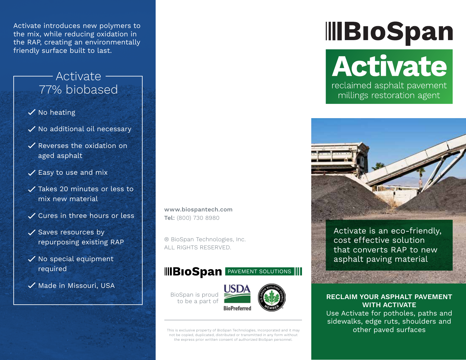Activate introduces new polymers to the mix, while reducing oxidation in the RAP, creating an environmentally friendly surface built to last.

## Activate 77% biobased

- $\checkmark$  No heating
- $\checkmark$  No additional oil necessary
- $\checkmark$  Reverses the oxidation on aged asphalt
- $\checkmark$  Easy to use and mix
- Takes 20 minutes or less to mix new material
- Cures in three hours or less
- $\checkmark$  Saves resources by repurposing existing RAP
- $\checkmark$  No special equipment required
- $\checkmark$  Made in Missouri, USA

www.biospantech.com Tel: (800) 730 8980

® BioSpan Technologies, Inc. ALL RIGHTS RESERVED.

## **IIBIOSpan PAVEMENT SOLUTIONS**

BioSpan is proud to be a part of



This is exclusive property of BioSpan Technologies, Incorporated and it may not be copied, duplicated, distributed or transmitted in any form without the express prior written consent of authorized BioSpan personnel.

# **IIIBIoSpan Activate** reclaimed asphalt pavement millings restoration agent



Activate is an eco-friendly, cost effective solution that converts RAP to new asphalt paving material

#### **RECLAIM YOUR ASPHALT PAVEMENT WITH ACTIVATE**

Use Activate for potholes, paths and sidewalks, edge ruts, shoulders and other paved surfaces